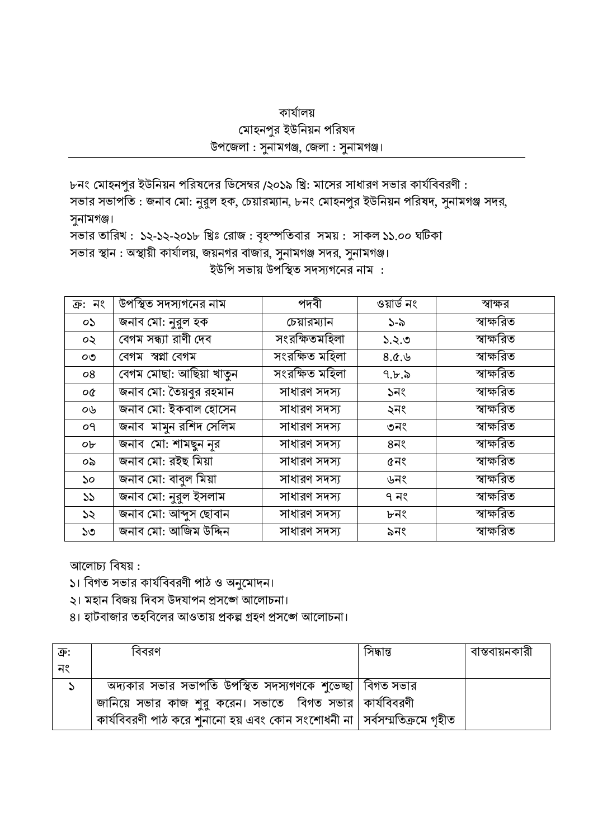## কাৰ্যালয় মোহনপুর ইউনিয়ন পরিষদ উপজেলা: সুনামগঞ্জ, জেলা: সুনামগঞ্জ।

৮নং মোহনপুর ইউনিয়ন পরিষদের ডিসেম্বর /২০১৯ খ্রি: মাসের সাধারণ সভার কার্যবিবরণী: সভার সভাপতি : জনাব মো: নুরুল হক, চেয়ারম্যান, ৮নং মোহনপুর ইউনিয়ন পরিষদ, সুনামগঞ্জ সদর,

সুনামগঞ্জ।

সভার তারিখ: ১২-১২-২০১৮ খ্রিঃ রোজ: বৃহস্পতিবার সময়: সাকল ১১.০০ ঘটিকা সভার স্থান : অস্থায়ী কার্যালয়, জয়নগর বাজার, সুনামগঞ্জ সদর, সুনামগঞ্জ।

ইউপি সভায় উপস্থিত সদস্যগনের নাম :

| ক্ৰ: নং | উপস্থিত সদস্যগনের নাম   | পদবী           | ওয়ার্ড নং        | স্বাক্ষর   |
|---------|-------------------------|----------------|-------------------|------------|
| OS.     | জনাব মো: নুরুল হক       | চেয়ারম্যান    | $S - \delta$      | স্বাক্ষরিত |
| ০২      | বেগম সন্ধ্যা রাণী দেব   | সংরক্ষিতমহিলা  | ১.২.৩             | স্বাক্ষরিত |
| OQ      | বেগম স্বপ্না বেগম       | সংরক্ষিত মহিলা | 8.0.9             | স্বাক্ষরিত |
| 08      | বেগম মোছা: আছিয়া খাতুন | সংরক্ষিত মহিলা | 9.5.5             | স্বাক্ষরিত |
| ο¢      | জনাব মো: তৈয়বুর রহমান  | সাধারণ সদস্য   | ১নং               | স্বাক্ষরিত |
| ০৬      | জনাব মো: ইকবাল হোসেন    | সাধারণ সদস্য   | ২নং               | স্বাক্ষরিত |
| οq      | জনাব মামুন রশিদ সেলিম   | সাধারণ সদস্য   | ৩নং               | স্বাক্ষরিত |
| ob      | জনাব মো: শামছুন নূর     | সাধারণ সদস্য   | $8\overline{1}$ ९ | স্বাক্ষরিত |
| ০৯      | জনাব মো: রইছ মিয়া      | সাধারণ সদস্য   | ৫নং               | স্বাক্ষরিত |
| ১০      | জনাব মো: বাবুল মিয়া    | সাধারণ সদস্য   | ৬নং               | স্বাক্ষরিত |
| 55      | জনাব মো: নুরুল ইসলাম    | সাধারণ সদস্য   | ৭ নং              | স্বাক্ষরিত |
| ১২      | জনাব মো: আব্দুস ছোবান   | সাধারণ সদস্য   | ৮নং               | স্বাক্ষরিত |
| ১৩      | জনাব মো: আজিম উদ্দিন    | সাধারণ সদস্য   | ৯নং               | স্বাক্ষরিত |

আলোচ্য বিষয়:

১। বিগত সভার কার্যবিবরণী পাঠ ও অনুমোদন।

২। মহান বিজয় দিবস উদযাপন প্ৰসঙ্গে আলোচনা।

৪। হাটবাজার তহবিলের আওতায় প্রকল্প গ্রহণ প্রসঙ্গে আলোচনা।

| ্ক্র: | বিবরণ                                                                      | সিদ্ধান্ত | বাস্তবায়নকারী |
|-------|----------------------------------------------------------------------------|-----------|----------------|
| নং    |                                                                            |           |                |
|       | অদ্যকার সভার সভাপতি উপস্থিত সদস্যগণকে শুভেচ্ছা   বিগত সভার                 |           |                |
|       | জানিয়ে সভার কাজ শুরু করেন। সভাতে বিগত সভার   কার্যবিবরণী                  |           |                |
|       | ্কার্যবিবরণী পাঠ করে শুনানো হয় এবং কোন সংশোধনী না   সর্বসম্মতিক্রমে গৃহীত |           |                |